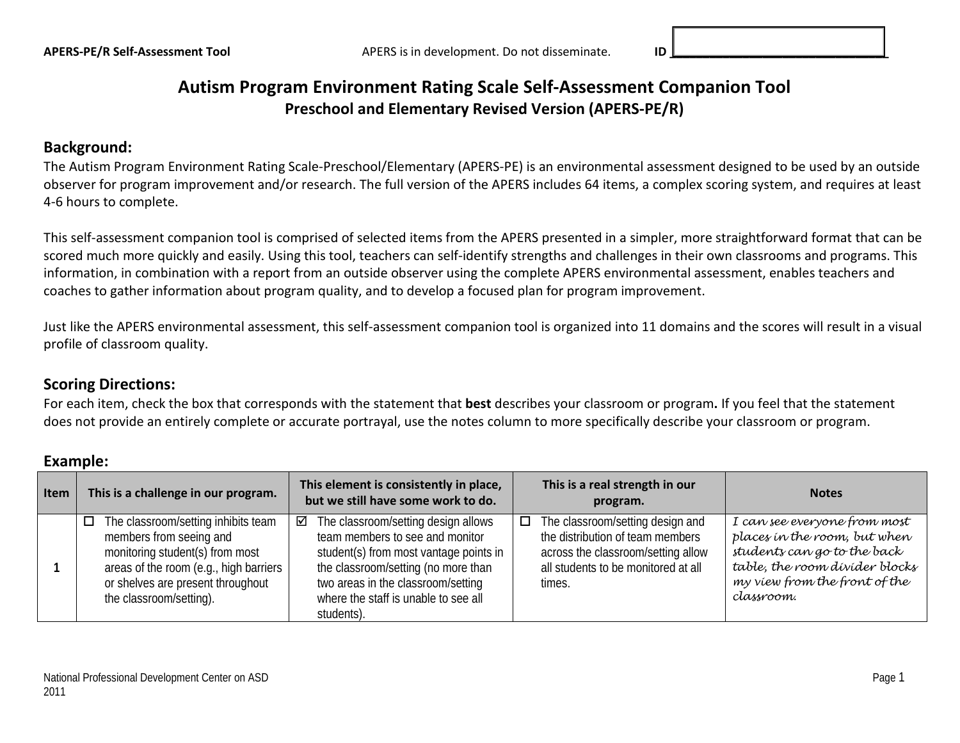## **Autism Program Environment Rating Scale Self-Assessment Companion Tool Preschool and Elementary Revised Version (APERS-PE/R)**

#### **Background:**

The Autism Program Environment Rating Scale-Preschool/Elementary (APERS-PE) is an environmental assessment designed to be used by an outside observer for program improvement and/or research. The full version of the APERS includes 64 items, a complex scoring system, and requires at least 4-6 hours to complete.

This self-assessment companion tool is comprised of selected items from the APERS presented in a simpler, more straightforward format that can be scored much more quickly and easily. Using this tool, teachers can self-identify strengths and challenges in their own classrooms and programs. This information, in combination with a report from an outside observer using the complete APERS environmental assessment, enables teachers and coaches to gather information about program quality, and to develop a focused plan for program improvement.

Just like the APERS environmental assessment, this self-assessment companion tool is organized into 11 domains and the scores will result in a visual profile of classroom quality.

#### **Scoring Directions:**

For each item, check the box that corresponds with the statement that **best** describes your classroom or program**.** If you feel that the statement does not provide an entirely complete or accurate portrayal, use the notes column to more specifically describe your classroom or program.

#### **Example:**

| <b>Item</b> | This is a challenge in our program.                                                                                                                                                                                   | This element is consistently in place,<br>but we still have some work to do.                                                                                                                                                                                    | This is a real strength in our<br>program.                                                                                                                         | <b>Notes</b>                                                                                                                                                                 |
|-------------|-----------------------------------------------------------------------------------------------------------------------------------------------------------------------------------------------------------------------|-----------------------------------------------------------------------------------------------------------------------------------------------------------------------------------------------------------------------------------------------------------------|--------------------------------------------------------------------------------------------------------------------------------------------------------------------|------------------------------------------------------------------------------------------------------------------------------------------------------------------------------|
|             | The classroom/setting inhibits team<br>$\Box$<br>members from seeing and<br>monitoring student(s) from most<br>areas of the room (e.g., high barriers<br>or shelves are present throughout<br>the classroom/setting). | $\boxtimes$ The classroom/setting design allows<br>team members to see and monitor<br>student(s) from most vantage points in<br>the classroom/setting (no more than<br>two areas in the classroom/setting<br>where the staff is unable to see all<br>students). | $\Box$ The classroom/setting design and<br>the distribution of team members<br>across the classroom/setting allow<br>all students to be monitored at all<br>times. | I can see everyone from most<br>places in the room, but when<br>students can go to the back<br>table, the room divider blocks<br>my view from the front of the<br>classroom. |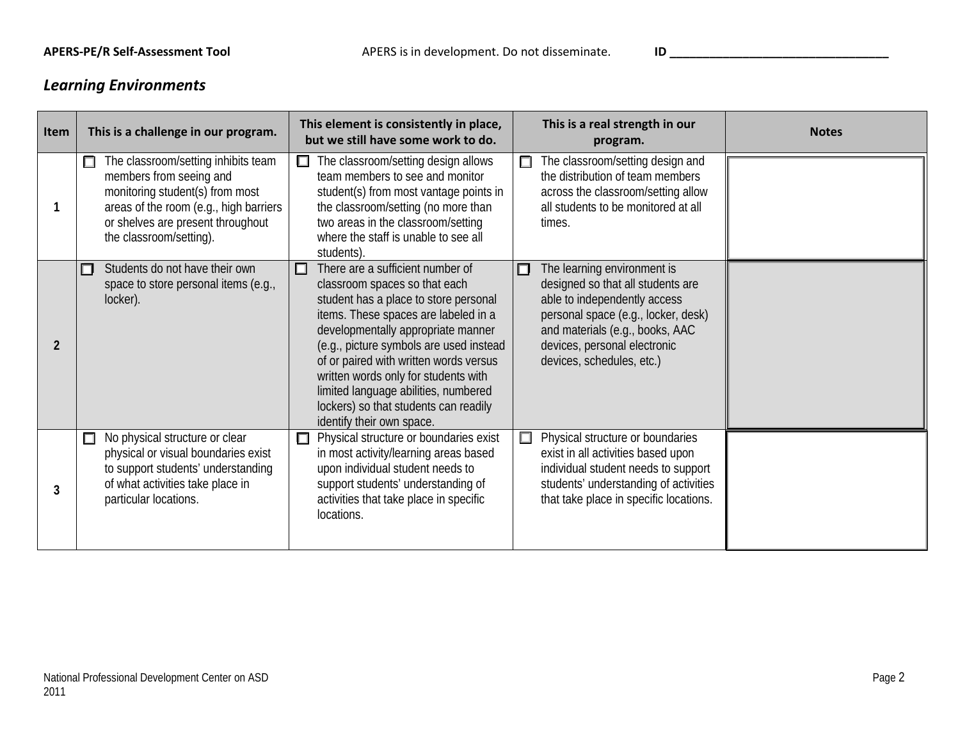# *Learning Environments*

| <b>Item</b>    | This is a challenge in our program.                                                                                                                                                                              | This element is consistently in place,<br>but we still have some work to do.                                                                                                                                                                                                                                                                                                                                                             | This is a real strength in our<br>program.                                                                                                                                                                                                   | <b>Notes</b> |
|----------------|------------------------------------------------------------------------------------------------------------------------------------------------------------------------------------------------------------------|------------------------------------------------------------------------------------------------------------------------------------------------------------------------------------------------------------------------------------------------------------------------------------------------------------------------------------------------------------------------------------------------------------------------------------------|----------------------------------------------------------------------------------------------------------------------------------------------------------------------------------------------------------------------------------------------|--------------|
|                | The classroom/setting inhibits team<br>□<br>members from seeing and<br>monitoring student(s) from most<br>areas of the room (e.g., high barriers<br>or shelves are present throughout<br>the classroom/setting). | The classroom/setting design allows<br>$\Box$<br>team members to see and monitor<br>student(s) from most vantage points in<br>the classroom/setting (no more than<br>two areas in the classroom/setting<br>where the staff is unable to see all<br>students).                                                                                                                                                                            | The classroom/setting design and<br>$\Box$<br>the distribution of team members<br>across the classroom/setting allow<br>all students to be monitored at all<br>times.                                                                        |              |
| $\overline{2}$ | Students do not have their own<br>ப<br>space to store personal items (e.g.,<br>locker).                                                                                                                          | There are a sufficient number of<br>◐<br>classroom spaces so that each<br>student has a place to store personal<br>items. These spaces are labeled in a<br>developmentally appropriate manner<br>(e.g., picture symbols are used instead<br>of or paired with written words versus<br>written words only for students with<br>limited language abilities, numbered<br>lockers) so that students can readily<br>identify their own space. | The learning environment is<br>□<br>designed so that all students are<br>able to independently access<br>personal space (e.g., locker, desk)<br>and materials (e.g., books, AAC<br>devices, personal electronic<br>devices, schedules, etc.) |              |
| 3              | No physical structure or clear<br>$\Box$<br>physical or visual boundaries exist<br>to support students' understanding<br>of what activities take place in<br>particular locations.                               | Physical structure or boundaries exist<br>$\Box$<br>in most activity/learning areas based<br>upon individual student needs to<br>support students' understanding of<br>activities that take place in specific<br>locations.                                                                                                                                                                                                              | Physical structure or boundaries<br>$\Box$<br>exist in all activities based upon<br>individual student needs to support<br>students' understanding of activities<br>that take place in specific locations.                                   |              |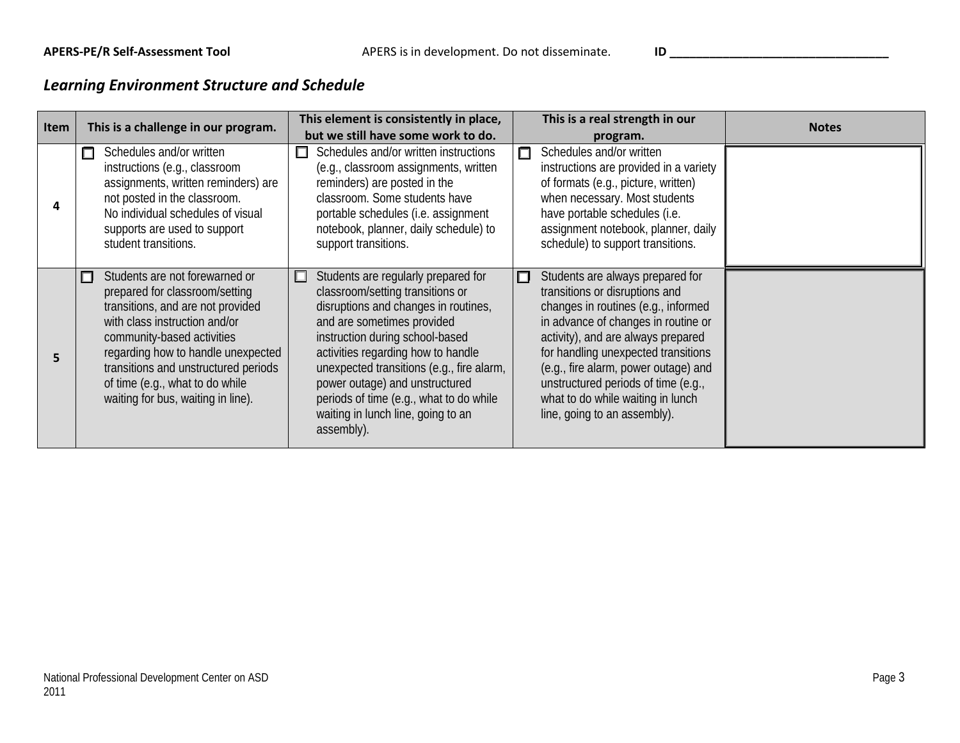# *Learning Environment Structure and Schedule*

| Item | This is a challenge in our program.                                                                                                                                                                                                                                                                                         | This element is consistently in place,<br>but we still have some work to do.                                                                                                                                                                                                                                                                                                                                   | This is a real strength in our<br>program.                                                                                                                                                                                                                                                                                                                                             | <b>Notes</b> |
|------|-----------------------------------------------------------------------------------------------------------------------------------------------------------------------------------------------------------------------------------------------------------------------------------------------------------------------------|----------------------------------------------------------------------------------------------------------------------------------------------------------------------------------------------------------------------------------------------------------------------------------------------------------------------------------------------------------------------------------------------------------------|----------------------------------------------------------------------------------------------------------------------------------------------------------------------------------------------------------------------------------------------------------------------------------------------------------------------------------------------------------------------------------------|--------------|
|      | Schedules and/or written<br>$\Box$<br>instructions (e.g., classroom<br>assignments, written reminders) are<br>not posted in the classroom.<br>No individual schedules of visual<br>supports are used to support<br>student transitions.                                                                                     | Schedules and/or written instructions<br>п<br>(e.g., classroom assignments, written<br>reminders) are posted in the<br>classroom. Some students have<br>portable schedules (i.e. assignment<br>notebook, planner, daily schedule) to<br>support transitions.                                                                                                                                                   | Schedules and/or written<br>$\Box$<br>instructions are provided in a variety<br>of formats (e.g., picture, written)<br>when necessary. Most students<br>have portable schedules (i.e.<br>assignment notebook, planner, daily<br>schedule) to support transitions.                                                                                                                      |              |
| 5    | Students are not forewarned or<br>prepared for classroom/setting<br>transitions, and are not provided<br>with class instruction and/or<br>community-based activities<br>regarding how to handle unexpected<br>transitions and unstructured periods<br>of time (e.g., what to do while<br>waiting for bus, waiting in line). | Students are regularly prepared for<br>$\Box$<br>classroom/setting transitions or<br>disruptions and changes in routines,<br>and are sometimes provided<br>instruction during school-based<br>activities regarding how to handle<br>unexpected transitions (e.g., fire alarm,<br>power outage) and unstructured<br>periods of time (e.g., what to do while<br>waiting in lunch line, going to an<br>assembly). | Students are always prepared for<br>П<br>transitions or disruptions and<br>changes in routines (e.g., informed<br>in advance of changes in routine or<br>activity), and are always prepared<br>for handling unexpected transitions<br>(e.g., fire alarm, power outage) and<br>unstructured periods of time (e.g.,<br>what to do while waiting in lunch<br>line, going to an assembly). |              |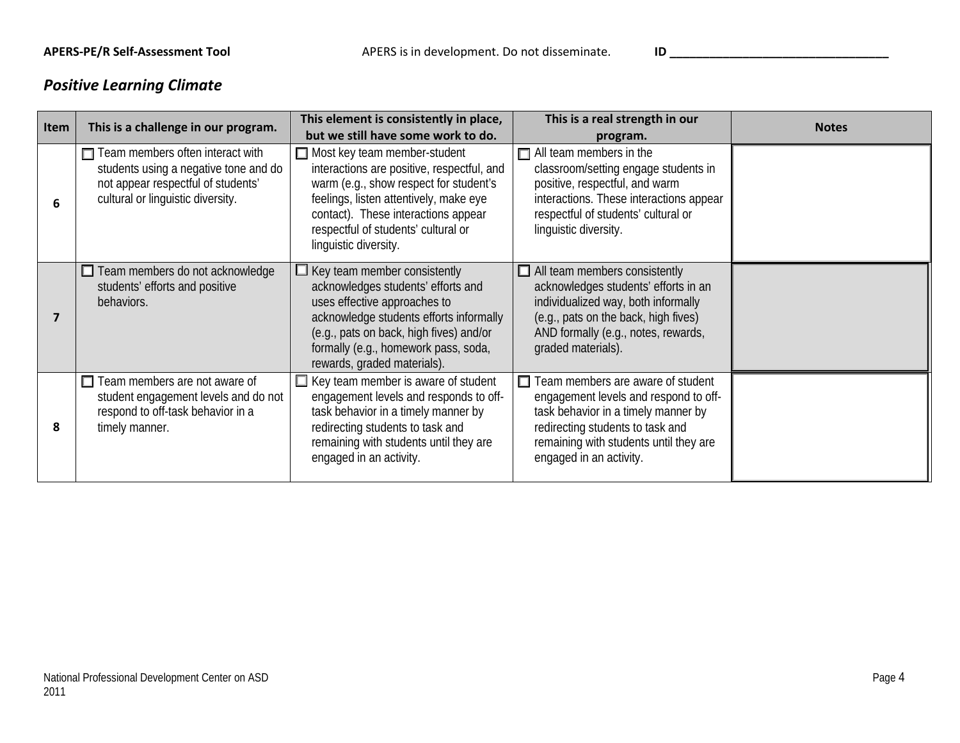# *Positive Learning Climate*

| Item | This is a challenge in our program.                                                                                                                         | This element is consistently in place,<br>but we still have some work to do.                                                                                                                                                                                                 | This is a real strength in our<br>program.                                                                                                                                                                                 | <b>Notes</b> |
|------|-------------------------------------------------------------------------------------------------------------------------------------------------------------|------------------------------------------------------------------------------------------------------------------------------------------------------------------------------------------------------------------------------------------------------------------------------|----------------------------------------------------------------------------------------------------------------------------------------------------------------------------------------------------------------------------|--------------|
| 6    | $\Box$ Team members often interact with<br>students using a negative tone and do<br>not appear respectful of students'<br>cultural or linguistic diversity. | $\Box$ Most key team member-student<br>interactions are positive, respectful, and<br>warm (e.g., show respect for student's<br>feelings, listen attentively, make eye<br>contact). These interactions appear<br>respectful of students' cultural or<br>linguistic diversity. | $\Box$ All team members in the<br>classroom/setting engage students in<br>positive, respectful, and warm<br>interactions. These interactions appear<br>respectful of students' cultural or<br>linguistic diversity.        |              |
| 7    | $\Box$ Team members do not acknowledge<br>students' efforts and positive<br>behaviors.                                                                      | $\Box$ Key team member consistently<br>acknowledges students' efforts and<br>uses effective approaches to<br>acknowledge students efforts informally<br>(e.g., pats on back, high fives) and/or<br>formally (e.g., homework pass, soda,<br>rewards, graded materials).       | $\Box$ All team members consistently<br>acknowledges students' efforts in an<br>individualized way, both informally<br>(e.g., pats on the back, high fives)<br>AND formally (e.g., notes, rewards,<br>graded materials).   |              |
| 8    | $\Box$ Team members are not aware of<br>student engagement levels and do not<br>respond to off-task behavior in a<br>timely manner.                         | $\Box$ Key team member is aware of student<br>engagement levels and responds to off-<br>task behavior in a timely manner by<br>redirecting students to task and<br>remaining with students until they are<br>engaged in an activity.                                         | Team members are aware of student<br>engagement levels and respond to off-<br>task behavior in a timely manner by<br>redirecting students to task and<br>remaining with students until they are<br>engaged in an activity. |              |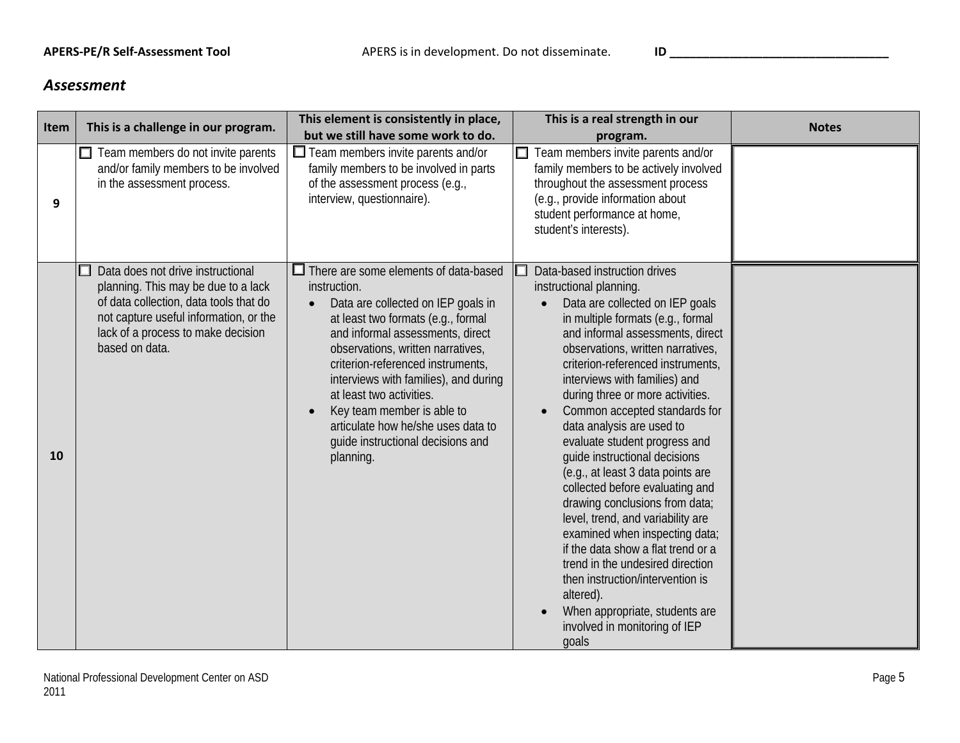#### *Assessment*

| Item      | This is a challenge in our program.                                                                                                                                                                                  | This element is consistently in place,<br>but we still have some work to do.                                                                                                                                                                                                                                                                                                                                                                                   | This is a real strength in our<br>program.                                                                                                                                                                                                                                                                                                                                                                                                                                                                                                                                                                                                                                                                                                                                                                                                  | <b>Notes</b> |
|-----------|----------------------------------------------------------------------------------------------------------------------------------------------------------------------------------------------------------------------|----------------------------------------------------------------------------------------------------------------------------------------------------------------------------------------------------------------------------------------------------------------------------------------------------------------------------------------------------------------------------------------------------------------------------------------------------------------|---------------------------------------------------------------------------------------------------------------------------------------------------------------------------------------------------------------------------------------------------------------------------------------------------------------------------------------------------------------------------------------------------------------------------------------------------------------------------------------------------------------------------------------------------------------------------------------------------------------------------------------------------------------------------------------------------------------------------------------------------------------------------------------------------------------------------------------------|--------------|
| 9         | $\Box$ Team members do not invite parents<br>and/or family members to be involved<br>in the assessment process.                                                                                                      | $\Box$ Team members invite parents and/or<br>family members to be involved in parts<br>of the assessment process (e.g.,<br>interview, questionnaire).                                                                                                                                                                                                                                                                                                          | Team members invite parents and/or<br>$\Box$<br>family members to be actively involved<br>throughout the assessment process<br>(e.g., provide information about<br>student performance at home,<br>student's interests).                                                                                                                                                                                                                                                                                                                                                                                                                                                                                                                                                                                                                    |              |
| <b>10</b> | Data does not drive instructional<br>planning. This may be due to a lack<br>of data collection, data tools that do<br>not capture useful information, or the<br>lack of a process to make decision<br>based on data. | $\Box$ There are some elements of data-based<br>instruction.<br>Data are collected on IEP goals in<br>$\bullet$<br>at least two formats (e.g., formal<br>and informal assessments, direct<br>observations, written narratives,<br>criterion-referenced instruments,<br>interviews with families), and during<br>at least two activities.<br>Key team member is able to<br>articulate how he/she uses data to<br>quide instructional decisions and<br>planning. | Data-based instruction drives<br>instructional planning.<br>Data are collected on IEP goals<br>in multiple formats (e.g., formal<br>and informal assessments, direct<br>observations, written narratives,<br>criterion-referenced instruments,<br>interviews with families) and<br>during three or more activities.<br>Common accepted standards for<br>data analysis are used to<br>evaluate student progress and<br>quide instructional decisions<br>(e.g., at least 3 data points are<br>collected before evaluating and<br>drawing conclusions from data;<br>level, trend, and variability are<br>examined when inspecting data;<br>if the data show a flat trend or a<br>trend in the undesired direction<br>then instruction/intervention is<br>altered).<br>When appropriate, students are<br>involved in monitoring of IEP<br>goals |              |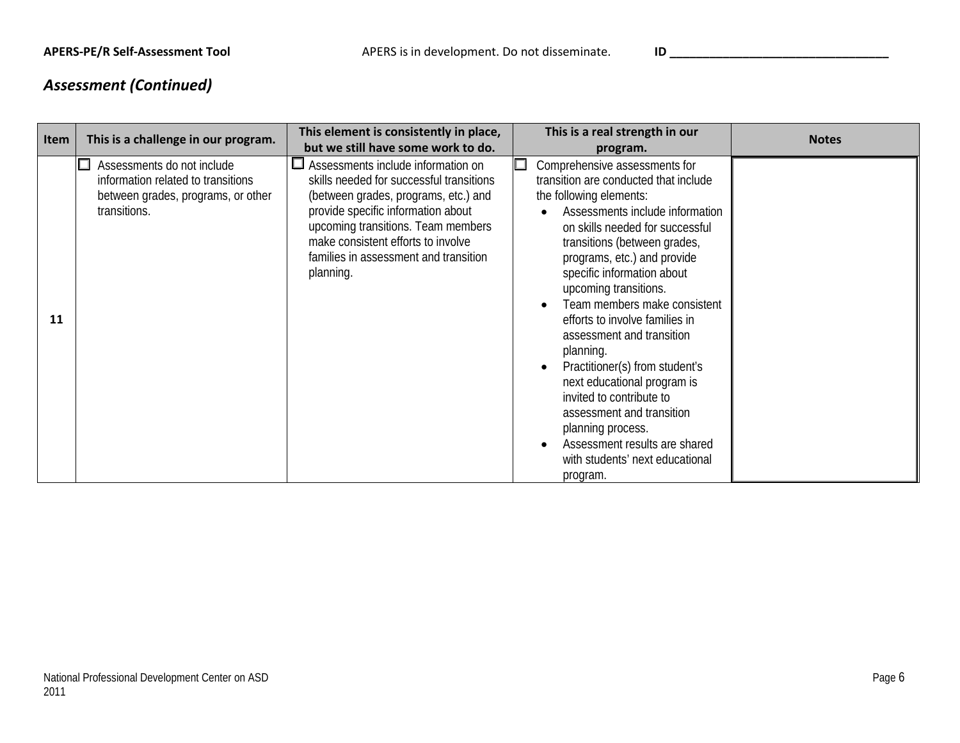# *Assessment (Continued)*

| Item | This is a challenge in our program.                                                                                    | This element is consistently in place,                                                                                                                                                                                                                                                         | This is a real strength in our                                                                                                                                                                                                                                                                                                                                                                                                                                                                                                                                                                                                           | <b>Notes</b> |
|------|------------------------------------------------------------------------------------------------------------------------|------------------------------------------------------------------------------------------------------------------------------------------------------------------------------------------------------------------------------------------------------------------------------------------------|------------------------------------------------------------------------------------------------------------------------------------------------------------------------------------------------------------------------------------------------------------------------------------------------------------------------------------------------------------------------------------------------------------------------------------------------------------------------------------------------------------------------------------------------------------------------------------------------------------------------------------------|--------------|
|      |                                                                                                                        | but we still have some work to do.                                                                                                                                                                                                                                                             | program.                                                                                                                                                                                                                                                                                                                                                                                                                                                                                                                                                                                                                                 |              |
| 11   | Assessments do not include<br>information related to transitions<br>between grades, programs, or other<br>transitions. | Assessments include information on<br>skills needed for successful transitions<br>(between grades, programs, etc.) and<br>provide specific information about<br>upcoming transitions. Team members<br>make consistent efforts to involve<br>families in assessment and transition<br>planning. | Comprehensive assessments for<br>transition are conducted that include<br>the following elements:<br>Assessments include information<br>on skills needed for successful<br>transitions (between grades,<br>programs, etc.) and provide<br>specific information about<br>upcoming transitions.<br>Team members make consistent<br>efforts to involve families in<br>assessment and transition<br>planning.<br>Practitioner(s) from student's<br>next educational program is<br>invited to contribute to<br>assessment and transition<br>planning process.<br>Assessment results are shared<br>with students' next educational<br>program. |              |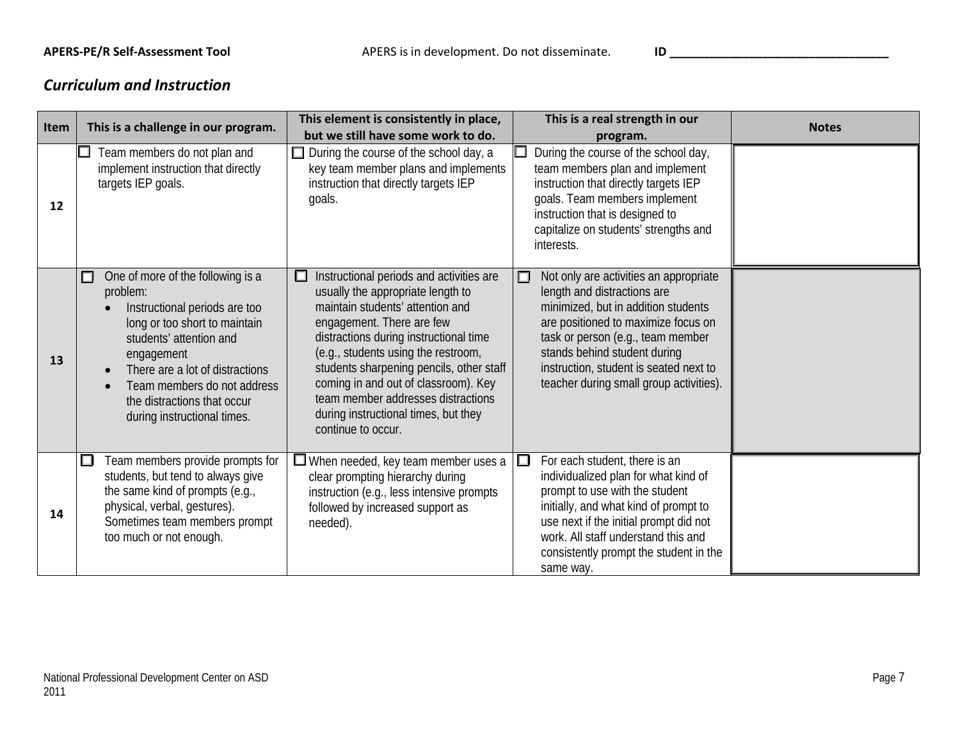### *Curriculum and Instruction*

| Item | This is a challenge in our program.                                                                                                                                                                                                                                                           | This element is consistently in place,<br>but we still have some work to do.                                                                                                                                                                                                                                                                                                                                                 | This is a real strength in our<br>program.                                                                                                                                                                                                                                                                              | <b>Notes</b> |
|------|-----------------------------------------------------------------------------------------------------------------------------------------------------------------------------------------------------------------------------------------------------------------------------------------------|------------------------------------------------------------------------------------------------------------------------------------------------------------------------------------------------------------------------------------------------------------------------------------------------------------------------------------------------------------------------------------------------------------------------------|-------------------------------------------------------------------------------------------------------------------------------------------------------------------------------------------------------------------------------------------------------------------------------------------------------------------------|--------------|
| 12   | Team members do not plan and<br>implement instruction that directly<br>targets IEP goals.                                                                                                                                                                                                     | During the course of the school day, a<br>key team member plans and implements<br>instruction that directly targets IEP<br>goals.                                                                                                                                                                                                                                                                                            | During the course of the school day,<br>team members plan and implement<br>instruction that directly targets IEP<br>goals. Team members implement<br>instruction that is designed to<br>capitalize on students' strengths and<br>interests.                                                                             |              |
| 13   | One of more of the following is a<br>◻<br>problem:<br>Instructional periods are too<br>long or too short to maintain<br>students' attention and<br>engagement<br>There are a lot of distractions<br>Team members do not address<br>the distractions that occur<br>during instructional times. | Instructional periods and activities are<br>□<br>usually the appropriate length to<br>maintain students' attention and<br>engagement. There are few<br>distractions during instructional time<br>(e.g., students using the restroom,<br>students sharpening pencils, other staff<br>coming in and out of classroom). Key<br>team member addresses distractions<br>during instructional times, but they<br>continue to occur. | Not only are activities an appropriate<br>$\Box$<br>length and distractions are<br>minimized, but in addition students<br>are positioned to maximize focus on<br>task or person (e.g., team member<br>stands behind student during<br>instruction, student is seated next to<br>teacher during small group activities). |              |
| 14   | Team members provide prompts for<br>$\Box$<br>students, but tend to always give<br>the same kind of prompts (e.g.,<br>physical, verbal, gestures).<br>Sometimes team members prompt<br>too much or not enough.                                                                                | $\Box$ When needed, key team member uses a<br>clear prompting hierarchy during<br>instruction (e.g., less intensive prompts<br>followed by increased support as<br>needed).                                                                                                                                                                                                                                                  | $\Box$<br>For each student, there is an<br>individualized plan for what kind of<br>prompt to use with the student<br>initially, and what kind of prompt to<br>use next if the initial prompt did not<br>work. All staff understand this and<br>consistently prompt the student in the<br>same way.                      |              |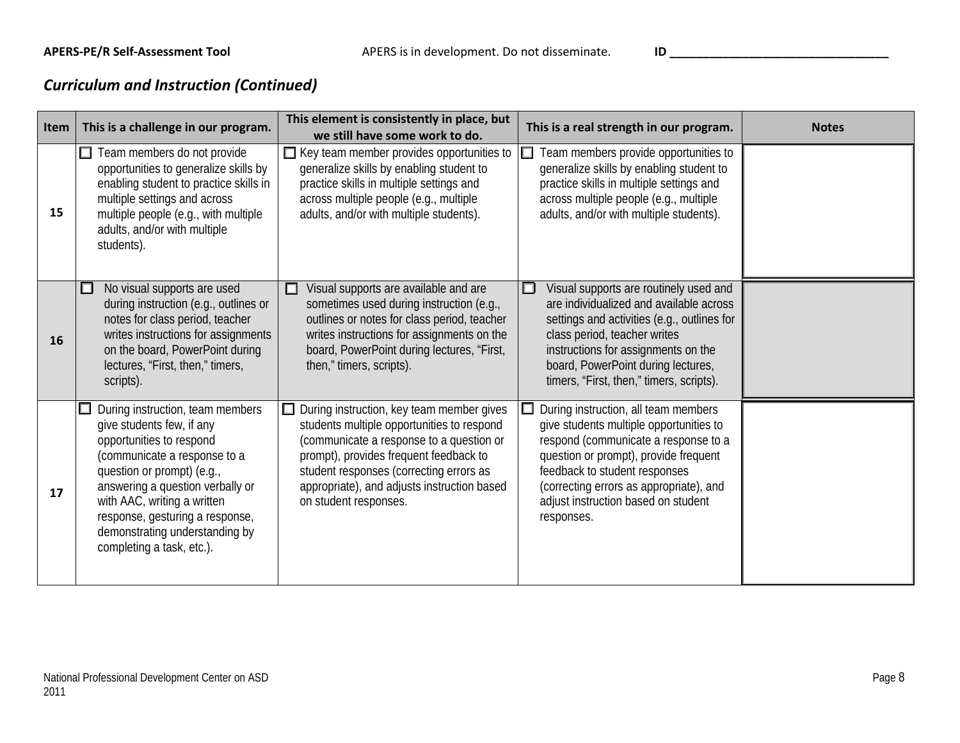## *Curriculum and Instruction (Continued)*

| <b>Item</b> | This is a challenge in our program.                                                                                                                                                                                                                                                                                          | This element is consistently in place, but<br>we still have some work to do.                                                                                                                                                                                                                     | This is a real strength in our program.                                                                                                                                                                                                                                                           | <b>Notes</b> |
|-------------|------------------------------------------------------------------------------------------------------------------------------------------------------------------------------------------------------------------------------------------------------------------------------------------------------------------------------|--------------------------------------------------------------------------------------------------------------------------------------------------------------------------------------------------------------------------------------------------------------------------------------------------|---------------------------------------------------------------------------------------------------------------------------------------------------------------------------------------------------------------------------------------------------------------------------------------------------|--------------|
| 15          | Team members do not provide<br>opportunities to generalize skills by<br>enabling student to practice skills in<br>multiple settings and across<br>multiple people (e.g., with multiple<br>adults, and/or with multiple<br>students).                                                                                         | $\Box$ Key team member provides opportunities to<br>generalize skills by enabling student to<br>practice skills in multiple settings and<br>across multiple people (e.g., multiple<br>adults, and/or with multiple students).                                                                    | Team members provide opportunities to<br>generalize skills by enabling student to<br>practice skills in multiple settings and<br>across multiple people (e.g., multiple<br>adults, and/or with multiple students).                                                                                |              |
| <b>16</b>   | No visual supports are used<br>$\Box$<br>during instruction (e.g., outlines or<br>notes for class period, teacher<br>writes instructions for assignments<br>on the board, PowerPoint during<br>lectures, "First, then," timers,<br>scripts).                                                                                 | Visual supports are available and are<br>□<br>sometimes used during instruction (e.g.,<br>outlines or notes for class period, teacher<br>writes instructions for assignments on the<br>board, PowerPoint during lectures, "First,<br>then," timers, scripts).                                    | Visual supports are routinely used and<br>are individualized and available across<br>settings and activities (e.g., outlines for<br>class period, teacher writes<br>instructions for assignments on the<br>board, PowerPoint during lectures,<br>timers, "First, then," timers, scripts).         |              |
| 17          | During instruction, team members<br>give students few, if any<br>opportunities to respond<br>(communicate a response to a<br>question or prompt) (e.g.,<br>answering a question verbally or<br>with AAC, writing a written<br>response, gesturing a response,<br>demonstrating understanding by<br>completing a task, etc.). | During instruction, key team member gives<br>students multiple opportunities to respond<br>(communicate a response to a question or<br>prompt), provides frequent feedback to<br>student responses (correcting errors as<br>appropriate), and adjusts instruction based<br>on student responses. | During instruction, all team members<br>give students multiple opportunities to<br>respond (communicate a response to a<br>question or prompt), provide frequent<br>feedback to student responses<br>(correcting errors as appropriate), and<br>adjust instruction based on student<br>responses. |              |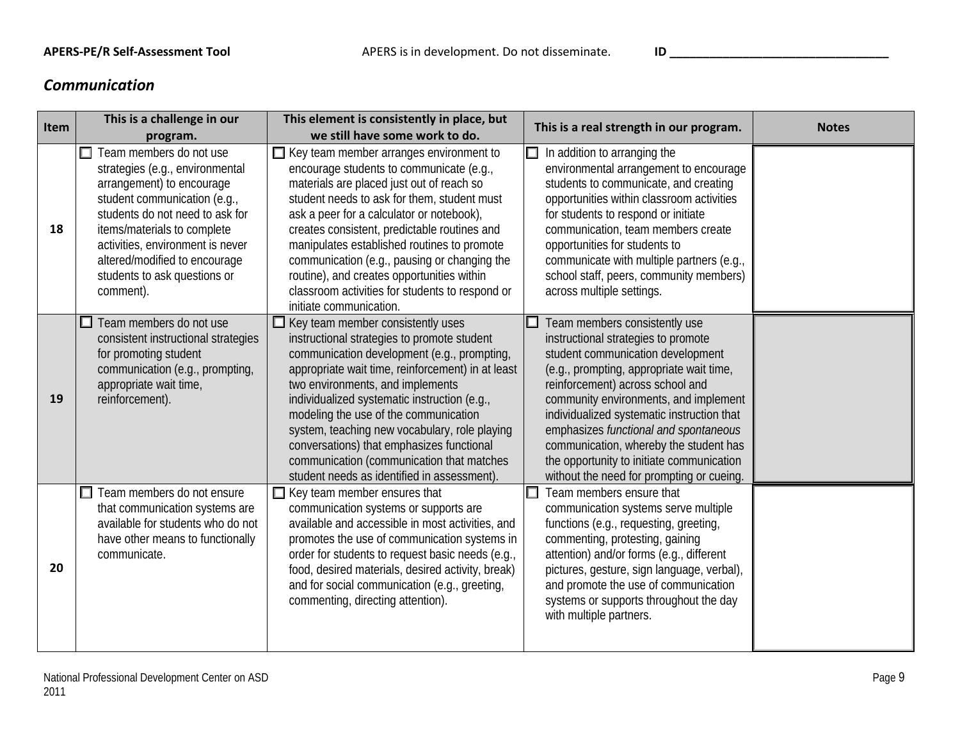### *Communication*

| <b>Item</b> | This is a challenge in our<br>program.                                                                                                                                                                                                                                                                             | This element is consistently in place, but<br>we still have some work to do.                                                                                                                                                                                                                                                                                                                                                                                                                                      | This is a real strength in our program.                                                                                                                                                                                                                                                                                                                                                                                                                       | <b>Notes</b> |
|-------------|--------------------------------------------------------------------------------------------------------------------------------------------------------------------------------------------------------------------------------------------------------------------------------------------------------------------|-------------------------------------------------------------------------------------------------------------------------------------------------------------------------------------------------------------------------------------------------------------------------------------------------------------------------------------------------------------------------------------------------------------------------------------------------------------------------------------------------------------------|---------------------------------------------------------------------------------------------------------------------------------------------------------------------------------------------------------------------------------------------------------------------------------------------------------------------------------------------------------------------------------------------------------------------------------------------------------------|--------------|
| 18          | $\Box$ Team members do not use<br>strategies (e.g., environmental<br>arrangement) to encourage<br>student communication (e.g.,<br>students do not need to ask for<br>items/materials to complete<br>activities, environment is never<br>altered/modified to encourage<br>students to ask questions or<br>comment). | $\Box$ Key team member arranges environment to<br>encourage students to communicate (e.g.,<br>materials are placed just out of reach so<br>student needs to ask for them, student must<br>ask a peer for a calculator or notebook),<br>creates consistent, predictable routines and<br>manipulates established routines to promote<br>communication (e.g., pausing or changing the<br>routine), and creates opportunities within<br>classroom activities for students to respond or<br>initiate communication.    | In addition to arranging the<br>environmental arrangement to encourage<br>students to communicate, and creating<br>opportunities within classroom activities<br>for students to respond or initiate<br>communication, team members create<br>opportunities for students to<br>communicate with multiple partners (e.g.,<br>school staff, peers, community members)<br>across multiple settings.                                                               |              |
| 19          | Team members do not use<br>consistent instructional strategies<br>for promoting student<br>communication (e.g., prompting,<br>appropriate wait time,<br>reinforcement).                                                                                                                                            | $\Box$ Key team member consistently uses<br>instructional strategies to promote student<br>communication development (e.g., prompting,<br>appropriate wait time, reinforcement) in at least<br>two environments, and implements<br>individualized systematic instruction (e.g.,<br>modeling the use of the communication<br>system, teaching new vocabulary, role playing<br>conversations) that emphasizes functional<br>communication (communication that matches<br>student needs as identified in assessment) | Team members consistently use<br>instructional strategies to promote<br>student communication development<br>(e.g., prompting, appropriate wait time,<br>reinforcement) across school and<br>community environments, and implement<br>individualized systematic instruction that<br>emphasizes functional and spontaneous<br>communication, whereby the student has<br>the opportunity to initiate communication<br>without the need for prompting or cueing. |              |
| 20          | $\Box$ Team members do not ensure<br>that communication systems are<br>available for students who do not<br>have other means to functionally<br>communicate.                                                                                                                                                       | $\Box$ Key team member ensures that<br>communication systems or supports are<br>available and accessible in most activities, and<br>promotes the use of communication systems in<br>order for students to request basic needs (e.g.,<br>food, desired materials, desired activity, break)<br>and for social communication (e.g., greeting,<br>commenting, directing attention).                                                                                                                                   | Team members ensure that<br>communication systems serve multiple<br>functions (e.g., requesting, greeting,<br>commenting, protesting, gaining<br>attention) and/or forms (e.g., different<br>pictures, gesture, sign language, verbal),<br>and promote the use of communication<br>systems or supports throughout the day<br>with multiple partners.                                                                                                          |              |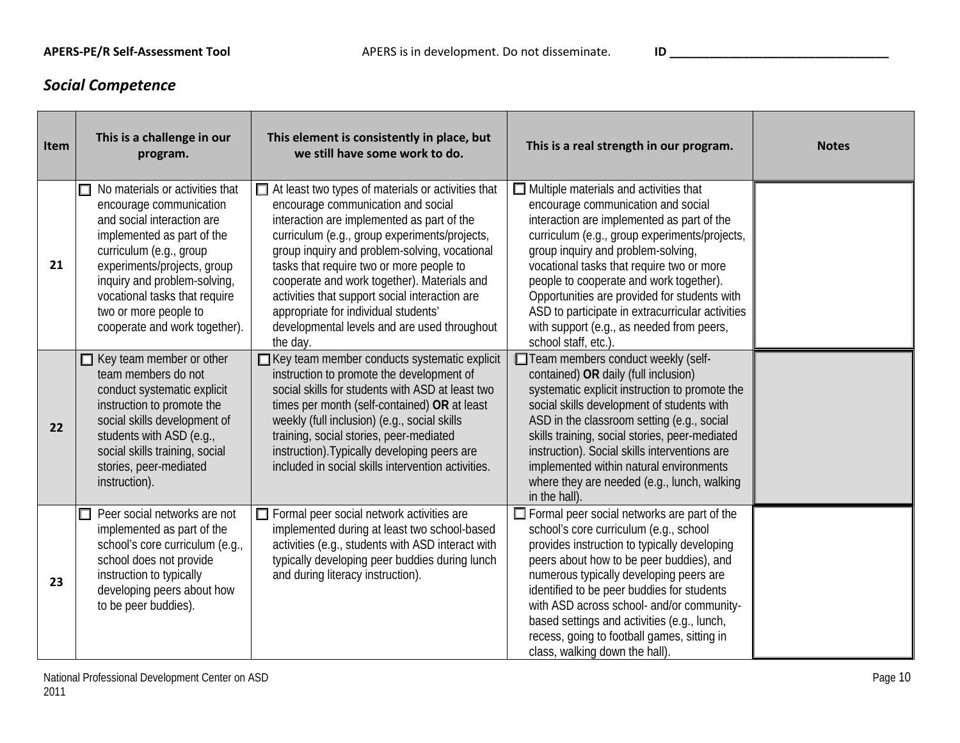## *Social Competence*

| Item | This is a challenge in our<br>program.                                                                                                                                                                                                                                                                           | This element is consistently in place, but<br>we still have some work to do.                                                                                                                                                                                                                                                                                                                                                                                                                     | This is a real strength in our program.                                                                                                                                                                                                                                                                                                                                                                                                                                                  | <b>Notes</b> |
|------|------------------------------------------------------------------------------------------------------------------------------------------------------------------------------------------------------------------------------------------------------------------------------------------------------------------|--------------------------------------------------------------------------------------------------------------------------------------------------------------------------------------------------------------------------------------------------------------------------------------------------------------------------------------------------------------------------------------------------------------------------------------------------------------------------------------------------|------------------------------------------------------------------------------------------------------------------------------------------------------------------------------------------------------------------------------------------------------------------------------------------------------------------------------------------------------------------------------------------------------------------------------------------------------------------------------------------|--------------|
| 21   | No materials or activities that<br>□<br>encourage communication<br>and social interaction are<br>implemented as part of the<br>curriculum (e.g., group<br>experiments/projects, group<br>inquiry and problem-solving,<br>vocational tasks that require<br>two or more people to<br>cooperate and work together). | $\Box$ At least two types of materials or activities that<br>encourage communication and social<br>interaction are implemented as part of the<br>curriculum (e.g., group experiments/projects,<br>group inquiry and problem-solving, vocational<br>tasks that require two or more people to<br>cooperate and work together). Materials and<br>activities that support social interaction are<br>appropriate for individual students'<br>developmental levels and are used throughout<br>the day. | $\Box$ Multiple materials and activities that<br>encourage communication and social<br>interaction are implemented as part of the<br>curriculum (e.g., group experiments/projects,<br>group inquiry and problem-solving,<br>vocational tasks that require two or more<br>people to cooperate and work together).<br>Opportunities are provided for students with<br>ASD to participate in extracurricular activities<br>with support (e.g., as needed from peers,<br>school staff, etc.) |              |
| 22   | $\Box$ Key team member or other<br>team members do not<br>conduct systematic explicit<br>instruction to promote the<br>social skills development of<br>students with ASD (e.g.,<br>social skills training, social<br>stories, peer-mediated<br>instruction).                                                     | □ Key team member conducts systematic explicit<br>instruction to promote the development of<br>social skills for students with ASD at least two<br>times per month (self-contained) OR at least<br>weekly (full inclusion) (e.g., social skills<br>training, social stories, peer-mediated<br>instruction). Typically developing peers are<br>included in social skills intervention activities.                                                                                                 | Team members conduct weekly (self-<br>contained) OR daily (full inclusion)<br>systematic explicit instruction to promote the<br>social skills development of students with<br>ASD in the classroom setting (e.g., social<br>skills training, social stories, peer-mediated<br>instruction). Social skills interventions are<br>implemented within natural environments<br>where they are needed (e.g., lunch, walking<br>in the hall).                                                   |              |
| 23   | $\Box$ Peer social networks are not<br>implemented as part of the<br>school's core curriculum (e.g.,<br>school does not provide<br>instruction to typically<br>developing peers about how<br>to be peer buddies).                                                                                                | $\Box$ Formal peer social network activities are<br>implemented during at least two school-based<br>activities (e.g., students with ASD interact with<br>typically developing peer buddies during lunch<br>and during literacy instruction).                                                                                                                                                                                                                                                     | $\Box$ Formal peer social networks are part of the<br>school's core curriculum (e.g., school<br>provides instruction to typically developing<br>peers about how to be peer buddies), and<br>numerous typically developing peers are<br>identified to be peer buddies for students<br>with ASD across school- and/or community-<br>based settings and activities (e.g., lunch,<br>recess, going to football games, sitting in<br>class, walking down the hall).                           |              |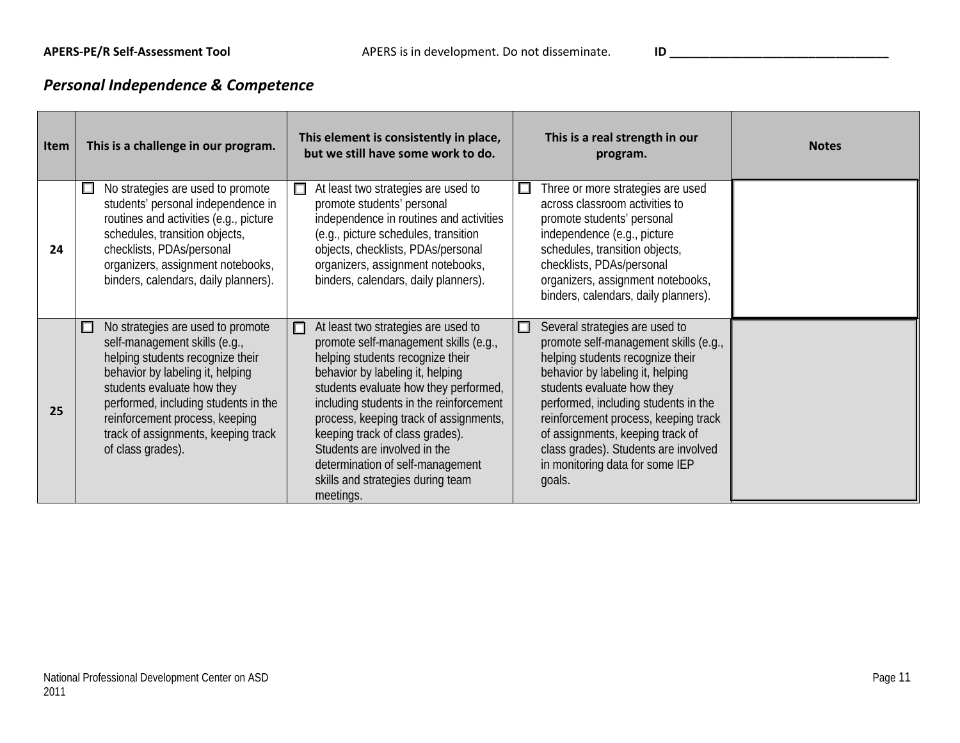# *Personal Independence & Competence*

| <b>Item</b> | This is a challenge in our program.                                                                                                                                                                                                                                                                                 | This element is consistently in place,<br>but we still have some work to do.                                                                                                                                                                                                                                                                                                                                                                     | This is a real strength in our<br>program.                                                                                                                                                                                                                                                                                                                                                  | <b>Notes</b> |
|-------------|---------------------------------------------------------------------------------------------------------------------------------------------------------------------------------------------------------------------------------------------------------------------------------------------------------------------|--------------------------------------------------------------------------------------------------------------------------------------------------------------------------------------------------------------------------------------------------------------------------------------------------------------------------------------------------------------------------------------------------------------------------------------------------|---------------------------------------------------------------------------------------------------------------------------------------------------------------------------------------------------------------------------------------------------------------------------------------------------------------------------------------------------------------------------------------------|--------------|
| 24          | No strategies are used to promote<br>$\Box$<br>students' personal independence in<br>routines and activities (e.g., picture<br>schedules, transition objects,<br>checklists, PDAs/personal<br>organizers, assignment notebooks,<br>binders, calendars, daily planners).                                             | At least two strategies are used to<br>□<br>promote students' personal<br>independence in routines and activities<br>(e.g., picture schedules, transition<br>objects, checklists, PDAs/personal<br>organizers, assignment notebooks,<br>binders, calendars, daily planners).                                                                                                                                                                     | Three or more strategies are used<br>$\Box$<br>across classroom activities to<br>promote students' personal<br>independence (e.g., picture<br>schedules, transition objects,<br>checklists, PDAs/personal<br>organizers, assignment notebooks,<br>binders, calendars, daily planners).                                                                                                      |              |
| 25          | No strategies are used to promote<br>◻<br>self-management skills (e.g.,<br>helping students recognize their<br>behavior by labeling it, helping<br>students evaluate how they<br>performed, including students in the<br>reinforcement process, keeping<br>track of assignments, keeping track<br>of class grades). | At least two strategies are used to<br>⊓<br>promote self-management skills (e.g.,<br>helping students recognize their<br>behavior by labeling it, helping<br>students evaluate how they performed,<br>including students in the reinforcement<br>process, keeping track of assignments,<br>keeping track of class grades).<br>Students are involved in the<br>determination of self-management<br>skills and strategies during team<br>meetings. | Several strategies are used to<br>□<br>promote self-management skills (e.g.,<br>helping students recognize their<br>behavior by labeling it, helping<br>students evaluate how they<br>performed, including students in the<br>reinforcement process, keeping track<br>of assignments, keeping track of<br>class grades). Students are involved<br>in monitoring data for some IEP<br>goals. |              |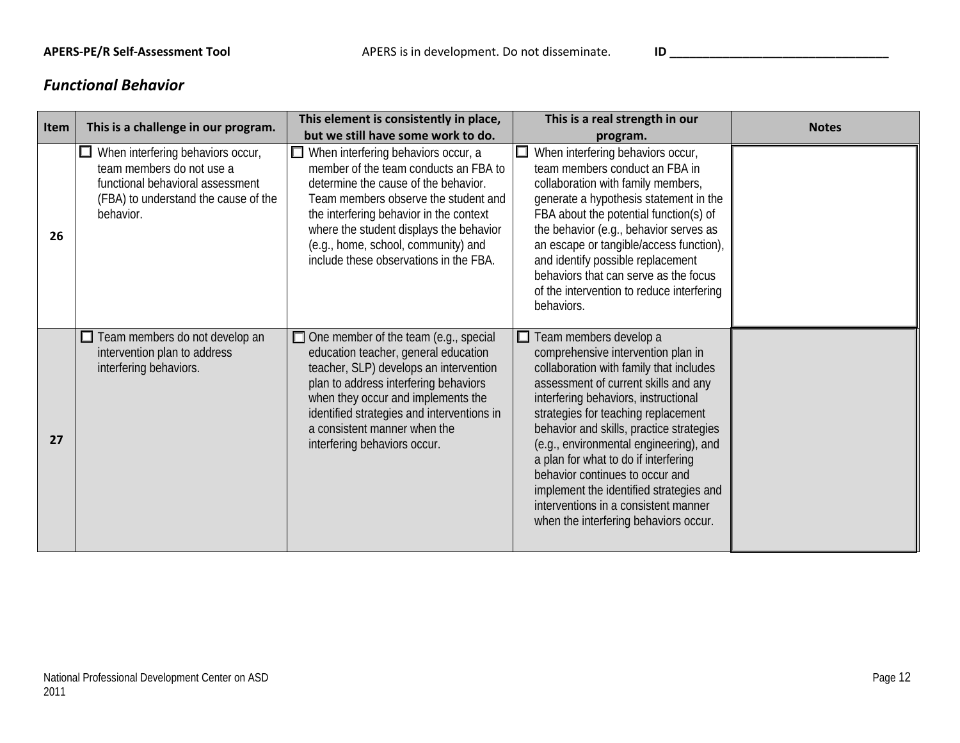### *Functional Behavior*

| Item | This is a challenge in our program.                                                                                                                     | This element is consistently in place,<br>but we still have some work to do.                                                                                                                                                                                                                                                        | This is a real strength in our                                                                                                                                                                                                                                                                                                                                                                                                                                                                                                     | <b>Notes</b> |
|------|---------------------------------------------------------------------------------------------------------------------------------------------------------|-------------------------------------------------------------------------------------------------------------------------------------------------------------------------------------------------------------------------------------------------------------------------------------------------------------------------------------|------------------------------------------------------------------------------------------------------------------------------------------------------------------------------------------------------------------------------------------------------------------------------------------------------------------------------------------------------------------------------------------------------------------------------------------------------------------------------------------------------------------------------------|--------------|
| 26   | When interfering behaviors occur,<br>team members do not use a<br>functional behavioral assessment<br>(FBA) to understand the cause of the<br>behavior. | When interfering behaviors occur, a<br>member of the team conducts an FBA to<br>determine the cause of the behavior.<br>Team members observe the student and<br>the interfering behavior in the context<br>where the student displays the behavior<br>(e.g., home, school, community) and<br>include these observations in the FBA. | program.<br>When interfering behaviors occur,<br>╙<br>team members conduct an FBA in<br>collaboration with family members,<br>generate a hypothesis statement in the<br>FBA about the potential function(s) of<br>the behavior (e.g., behavior serves as<br>an escape or tangible/access function),<br>and identify possible replacement<br>behaviors that can serve as the focus<br>of the intervention to reduce interfering<br>behaviors.                                                                                       |              |
| 27   | $\Box$ Team members do not develop an<br>intervention plan to address<br>interfering behaviors.                                                         | $\Box$ One member of the team (e.g., special<br>education teacher, general education<br>teacher, SLP) develops an intervention<br>plan to address interfering behaviors<br>when they occur and implements the<br>identified strategies and interventions in<br>a consistent manner when the<br>interfering behaviors occur.         | $\Box$ Team members develop a<br>comprehensive intervention plan in<br>collaboration with family that includes<br>assessment of current skills and any<br>interfering behaviors, instructional<br>strategies for teaching replacement<br>behavior and skills, practice strategies<br>(e.g., environmental engineering), and<br>a plan for what to do if interfering<br>behavior continues to occur and<br>implement the identified strategies and<br>interventions in a consistent manner<br>when the interfering behaviors occur. |              |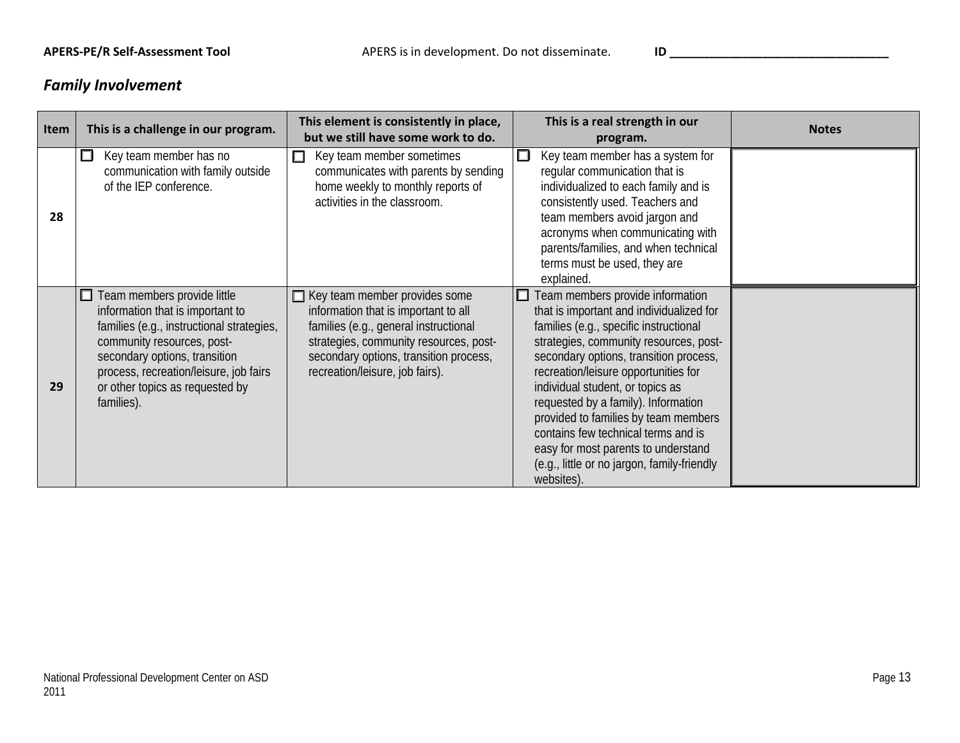# *Family Involvement*

| Item | This is a challenge in our program.                                                                                                                                                                                                                                    | This element is consistently in place,<br>but we still have some work to do.                                                                                                                                                          | This is a real strength in our<br>program.                                                                                                                                                                                                                                                                                                                                                                                                                                                                       | <b>Notes</b> |
|------|------------------------------------------------------------------------------------------------------------------------------------------------------------------------------------------------------------------------------------------------------------------------|---------------------------------------------------------------------------------------------------------------------------------------------------------------------------------------------------------------------------------------|------------------------------------------------------------------------------------------------------------------------------------------------------------------------------------------------------------------------------------------------------------------------------------------------------------------------------------------------------------------------------------------------------------------------------------------------------------------------------------------------------------------|--------------|
| 28   | Key team member has no<br>ப<br>communication with family outside<br>of the IEP conference.                                                                                                                                                                             | $\Box$<br>Key team member sometimes<br>communicates with parents by sending<br>home weekly to monthly reports of<br>activities in the classroom.                                                                                      | Key team member has a system for<br>□<br>regular communication that is<br>individualized to each family and is<br>consistently used. Teachers and<br>team members avoid jargon and<br>acronyms when communicating with<br>parents/families, and when technical<br>terms must be used, they are<br>explained.                                                                                                                                                                                                     |              |
| 29   | Team members provide little<br>information that is important to<br>families (e.g., instructional strategies,<br>community resources, post-<br>secondary options, transition<br>process, recreation/leisure, job fairs<br>or other topics as requested by<br>families). | Key team member provides some<br>information that is important to all<br>families (e.g., general instructional<br>strategies, community resources, post-<br>secondary options, transition process,<br>recreation/leisure, job fairs). | Team members provide information<br>that is important and individualized for<br>families (e.g., specific instructional<br>strategies, community resources, post-<br>secondary options, transition process,<br>recreation/leisure opportunities for<br>individual student, or topics as<br>requested by a family). Information<br>provided to families by team members<br>contains few technical terms and is<br>easy for most parents to understand<br>(e.g., little or no jargon, family-friendly<br>websites). |              |